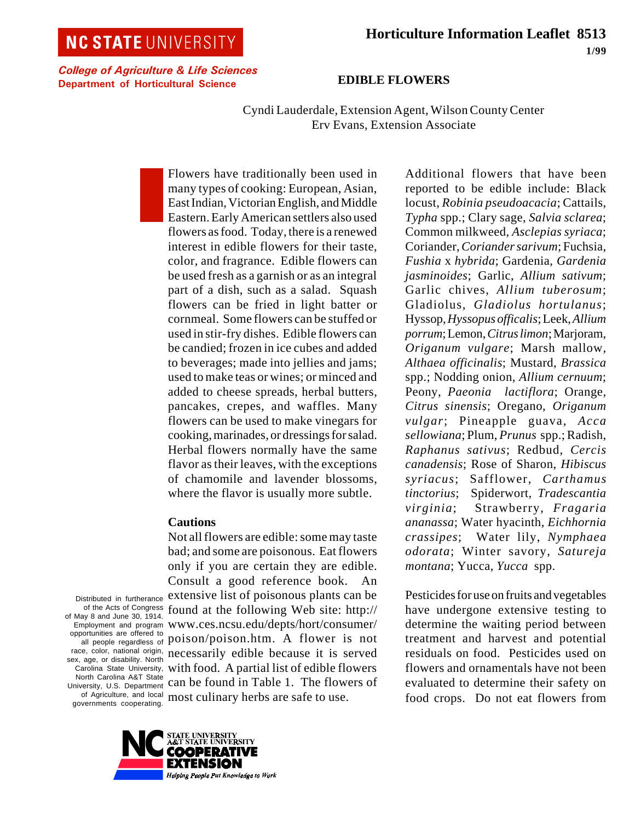# **NC STATE UNIVERSITY**

College of Agriculture & Life Sciences Department of Horticultural Science

#### **EDIBLE FLOWERS**

Cyndi Lauderdale, Extension Agent, Wilson County Center Erv Evans, Extension Associate

Flowers have traditionally been used in many types of cooking: European, Asian, East Indian, Victorian English, and Middle Eastern. Early American settlers also used flowers as food. Today, there is a renewed interest in edible flowers for their taste, color, and fragrance. Edible flowers can be used fresh as a garnish or as an integral part of a dish, such as a salad. Squash flowers can be fried in light batter or cornmeal. Some flowers can be stuffed or used in stir-fry dishes. Edible flowers can be candied; frozen in ice cubes and added to beverages; made into jellies and jams; used to make teas or wines; or minced and added to cheese spreads, herbal butters, pancakes, crepes, and waffles. Many flowers can be used to make vinegars for cooking, marinades, or dressings for salad. Herbal flowers normally have the same flavor as their leaves, with the exceptions of chamomile and lavender blossoms, where the flavor is usually more subtle.

#### **Cautions**

of Agriculture, and local most culinary herbs are safe to use. Not all flowers are edible: some may taste bad; and some are poisonous. Eat flowers only if you are certain they are edible. Consult a good reference book. extensive list of poisonous plants can be found at the following Web site: http:// www.ces.ncsu.edu/depts/hort/consumer/ poison/poison.htm. A flower is not necessarily edible because it is served with food. A partial list of edible flowers can be found in Table 1. The flowers of

reported to be edible include: Black locust, *Robinia pseudoacacia*; Cattails, *Typha* spp.; Clary sage, *Salvia sclarea*; Common milkweed, *Asclepias syriaca*; Coriander, *Coriander sarivum*; Fuchsia, *Fushia* x *hybrida*; Gardenia, *Gardenia jasminoides*; Garlic, *Allium sativum*; Garlic chives, *Allium tuberosum*; Gladiolus, *Gladiolus hortulanus*; Hyssop, *Hyssopus officalis*;Leek, *Allium*  $porrum$ ; Lemon, *Citrus limon*; Marjoram, *Origanum vulgare*; Marsh mallow*, Althaea officinalis*; Mustard, *Brassica* spp.; Nodding onion, *Allium cernuum*; Peony, *Paeonia lactiflora*; Orange, *Citrus sinensis*; Oregano, *Origanum vulgar*; Pineapple guava, *Acca sellowiana*; Plum, *Prunus* spp.; Radish, *Raphanus sativus*; Redbud, *Cercis canadensis*; Rose of Sharon, *Hibiscus syriacus*; Safflower, *Carthamus tinctorius*;Spiderwort, *Tradescantia virginia*;Strawberry, *Fragaria ananassa*; Water hyacinth, *Eichhornia crassipes*; Water lily, *Nymphaea odorata*; Winter savory, *Satureja montana*; Yucca, *Yucca* spp.

Additional flowers that have been

Pesticides for use on fruits and vegetables have undergone extensive testing to determine the waiting period between treatment and harvest and potential residuals on food. Pesticides used on flowers and ornamentals have not been evaluated to determine their safety on food crops. Do not eat flowers from

Distributed in furtherance of the Acts of Congress of May 8 and June 30, 1914. Employment and program opportunities are offered to all people regardless of race, color, national origin, sex, age, or disability. North Carolina State University, North Carolina A&T State University, U.S. Department governments cooperating.

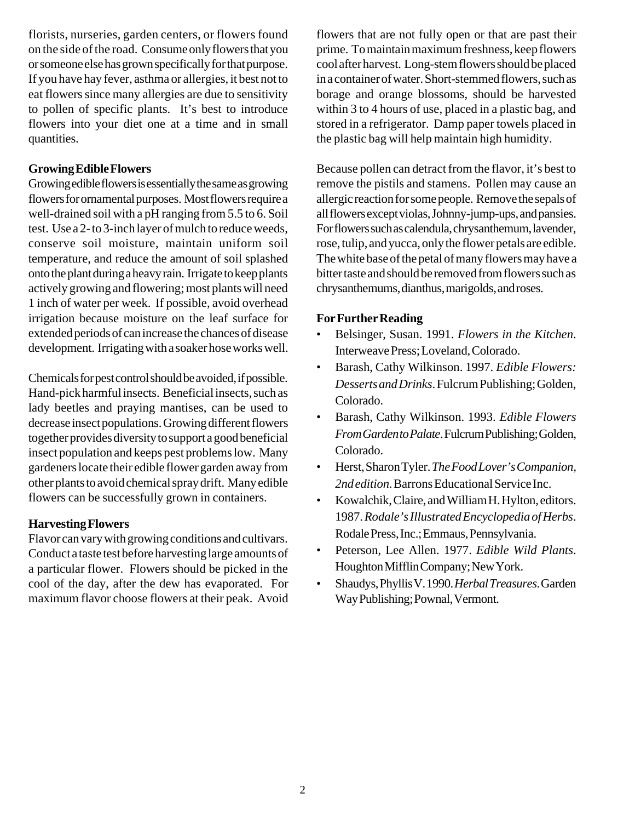florists, nurseries, garden centers, or flowers found on the side of the road. Consume only flowers that you or someone else has grown specifically for that purpose. If you have hay fever, asthma or allergies, it best not to eat flowers since many allergies are due to sensitivity to pollen of specific plants. It's best to introduce flowers into your diet one at a time and in small quantities.

### **Growing Edible Flowers**

Growing edible flowers is essentially the same as growing flowers for ornamental purposes. Most flowers require a well-drained soil with a pH ranging from 5.5 to 6. Soil test. Use a 2- to 3-inch layer of mulch to reduce weeds, conserve soil moisture, maintain uniform soil temperature, and reduce the amount of soil splashed onto the plant during a heavy rain. Irrigate to keep plants actively growing and flowering; most plants will need 1 inch of water per week. If possible, avoid overhead irrigation because moisture on the leaf surface for extended periods of can increase the chances of disease development. Irrigating with a soaker hose works well.

Chemicals for pest control should be avoided, if possible. Hand-pick harmful insects. Beneficial insects, such as lady beetles and praying mantises, can be used to decrease insect populations. Growing different flowers together provides diversity to support a good beneficial insect population and keeps pest problems low. Many gardeners locate their edible flower garden away from other plants to avoid chemical spray drift. Many edible flowers can be successfully grown in containers.

## **Harvesting Flowers**

Flavor can vary with growing conditions and cultivars. Conduct a taste test before harvesting large amounts of a particular flower. Flowers should be picked in the cool of the day, after the dew has evaporated. For maximum flavor choose flowers at their peak. Avoid flowers that are not fully open or that are past their prime. To maintain maximum freshness, keep flowers cool after harvest. Long-stem flowers should be placed in a container of water. Short-stemmed flowers, such as borage and orange blossoms, should be harvested within 3 to 4 hours of use, placed in a plastic bag, and stored in a refrigerator. Damp paper towels placed in the plastic bag will help maintain high humidity.

Because pollen can detract from the flavor, it's best to remove the pistils and stamens. Pollen may cause an allergic reaction for some people. Remove the sepals of all flowers except violas, Johnny-jump-ups, and pansies. For flowers such as calendula, chrysanthemum, lavender, rose, tulip, and yucca, only the flower petals are edible. The white base of the petal of many flowers may have a bitter taste and should be removed from flowers such as chrysanthemums, dianthus, marigolds, and roses.

## **For Further Reading**

- Belsinger, Susan. 1991. *Flowers in the Kitchen*. Interweave Press; Loveland, Colorado.
- Barash, Cathy Wilkinson. 1997. *Edible Flowers: Desserts and Drinks*. Fulcrum Publishing; Golden, Colorado.
- Barash, Cathy Wilkinson. 1993. *Edible Flowers From Garden to Palate*. Fulcrum Publishing; Golden, Colorado.
- Herst, Sharon Tyler. *The Food Lover's Companion, 2nd edition*. Barrons Educational Service Inc.
- Kowalchik, Claire, and William H. Hylton, editors. 1987. *Rodale's Illustrated Encyclopedia of Herbs*. Rodale Press, Inc.; Emmaus, Pennsylvania.
- Peterson, Lee Allen. 1977. *Edible Wild Plants*. Houghton Mifflin Company; New York.
- Shaudys, Phyllis V. 1990. *Herbal Treasures*. Garden Way Publishing; Pownal, Vermont.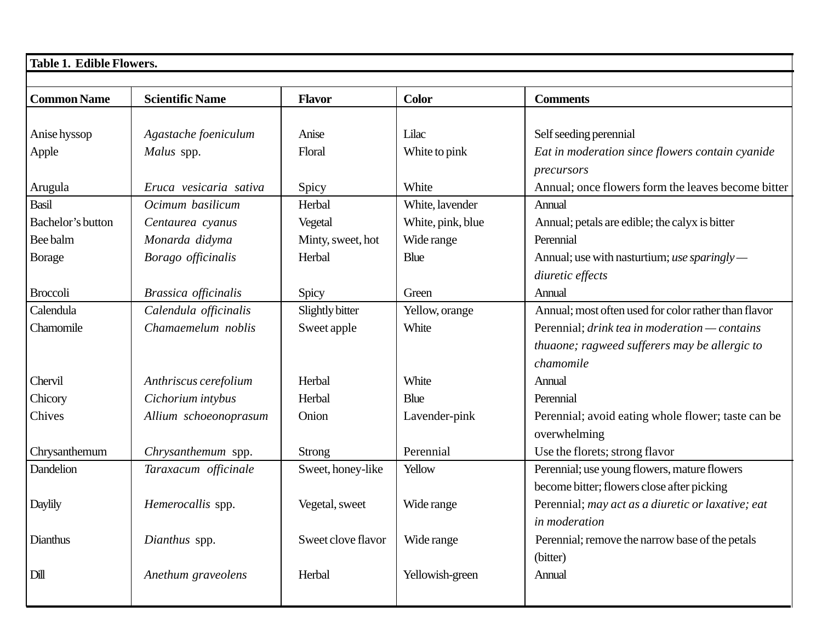| Table 1. Edible Flowers. |                        |                    |                   |                                                      |  |  |  |  |
|--------------------------|------------------------|--------------------|-------------------|------------------------------------------------------|--|--|--|--|
|                          |                        |                    |                   |                                                      |  |  |  |  |
| <b>Common Name</b>       | <b>Scientific Name</b> | <b>Flavor</b>      | <b>Color</b>      | <b>Comments</b>                                      |  |  |  |  |
|                          |                        |                    |                   |                                                      |  |  |  |  |
| Anise hyssop             | Agastache foeniculum   | Anise              | Lilac             | Self seeding perennial                               |  |  |  |  |
| Apple                    | Malus spp.             | Floral             | White to pink     | Eat in moderation since flowers contain cyanide      |  |  |  |  |
|                          |                        |                    |                   | precursors                                           |  |  |  |  |
| Arugula                  | Eruca vesicaria sativa | Spicy              | White             | Annual; once flowers form the leaves become bitter   |  |  |  |  |
| Basil                    | Ocimum basilicum       | Herbal             | White, lavender   | Annual                                               |  |  |  |  |
| Bachelor's button        | Centaurea cyanus       | Vegetal            | White, pink, blue | Annual; petals are edible; the calyx is bitter       |  |  |  |  |
| Bee balm                 | Monarda didyma         | Minty, sweet, hot  | Wide range        | Perennial                                            |  |  |  |  |
| <b>Borage</b>            | Borago officinalis     | Herbal             | <b>Blue</b>       | Annual; use with nasturtium; use sparingly —         |  |  |  |  |
|                          |                        |                    |                   | diuretic effects                                     |  |  |  |  |
| <b>Broccoli</b>          | Brassica officinalis   | Spicy              | Green             | Annual                                               |  |  |  |  |
| Calendula                | Calendula officinalis  | Slightly bitter    | Yellow, orange    | Annual; most often used for color rather than flavor |  |  |  |  |
| Chamomile                | Chamaemelum noblis     | Sweet apple        | White             | Perennial; drink tea in moderation — contains        |  |  |  |  |
|                          |                        |                    |                   | thuaone; ragweed sufferers may be allergic to        |  |  |  |  |
|                          |                        |                    |                   | chamomile                                            |  |  |  |  |
| Chervil                  | Anthriscus cerefolium  | Herbal             | White             | Annual                                               |  |  |  |  |
| Chicory                  | Cichorium intybus      | Herbal             | <b>Blue</b>       | Perennial                                            |  |  |  |  |
| Chives                   | Allium schoeonoprasum  | Onion              | Lavender-pink     | Perennial; avoid eating whole flower; taste can be   |  |  |  |  |
|                          |                        |                    |                   | overwhelming                                         |  |  |  |  |
| Chrysanthemum            | Chrysanthemum spp.     | <b>Strong</b>      | Perennial         | Use the florets; strong flavor                       |  |  |  |  |
| Dandelion                | Taraxacum officinale   | Sweet, honey-like  | Yellow            | Perennial; use young flowers, mature flowers         |  |  |  |  |
|                          |                        |                    |                   | become bitter; flowers close after picking           |  |  |  |  |
| Daylily                  | Hemerocallis spp.      | Vegetal, sweet     | Wide range        | Perennial; may act as a diuretic or laxative; eat    |  |  |  |  |
|                          |                        |                    |                   | in moderation                                        |  |  |  |  |
| Dianthus                 | Dianthus spp.          | Sweet clove flavor | Wide range        | Perennial; remove the narrow base of the petals      |  |  |  |  |
|                          |                        |                    |                   | (bitter)                                             |  |  |  |  |
| Dill                     | Anethum graveolens     | Herbal             | Yellowish-green   | Annual                                               |  |  |  |  |
|                          |                        |                    |                   |                                                      |  |  |  |  |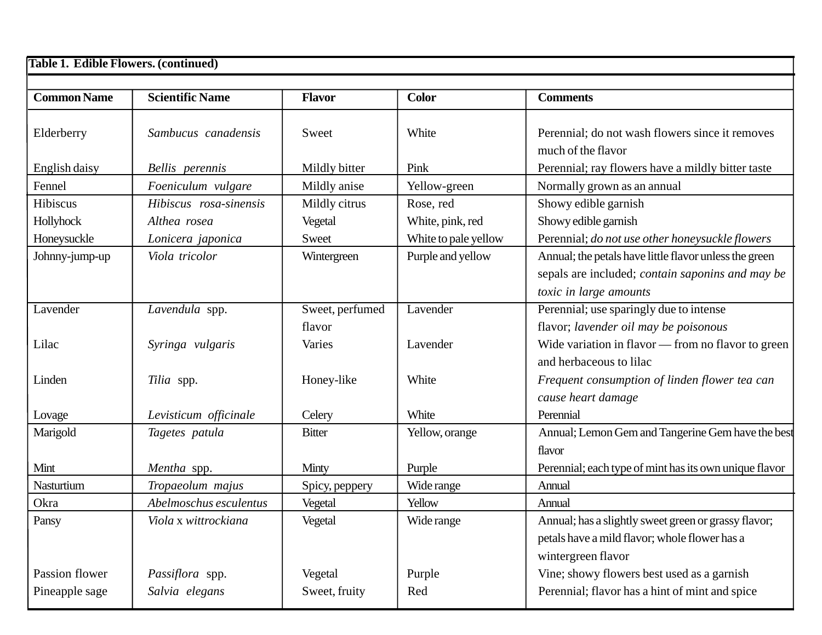| <b>Table 1. Edible Flowers. (continued)</b> |                        |                 |                      |                                                                       |  |  |  |
|---------------------------------------------|------------------------|-----------------|----------------------|-----------------------------------------------------------------------|--|--|--|
| <b>Common Name</b>                          | <b>Scientific Name</b> | <b>Flavor</b>   | <b>Color</b>         | <b>Comments</b>                                                       |  |  |  |
| Elderberry                                  | Sambucus canadensis    | Sweet           | White                | Perennial; do not wash flowers since it removes<br>much of the flavor |  |  |  |
| English daisy                               | Bellis perennis        | Mildly bitter   | Pink                 | Perennial; ray flowers have a mildly bitter taste                     |  |  |  |
| Fennel                                      | Foeniculum vulgare     | Mildly anise    | Yellow-green         | Normally grown as an annual                                           |  |  |  |
| Hibiscus                                    | Hibiscus rosa-sinensis | Mildly citrus   | Rose, red            | Showy edible garnish                                                  |  |  |  |
| Hollyhock                                   | Althea rosea           | Vegetal         | White, pink, red     | Showy edible garnish                                                  |  |  |  |
| Honeysuckle                                 | Lonicera japonica      | Sweet           | White to pale yellow | Perennial; do not use other honeysuckle flowers                       |  |  |  |
| Johnny-jump-up                              | Viola tricolor         | Wintergreen     | Purple and yellow    | Annual; the petals have little flavor unless the green                |  |  |  |
|                                             |                        |                 |                      | sepals are included; <i>contain saponins and may be</i>               |  |  |  |
|                                             |                        |                 |                      | toxic in large amounts                                                |  |  |  |
| Lavender                                    | Lavendula spp.         | Sweet, perfumed | Lavender             | Perennial; use sparingly due to intense                               |  |  |  |
|                                             |                        | flavor          |                      | flavor; lavender oil may be poisonous                                 |  |  |  |
| Lilac                                       | Syringa vulgaris       | Varies          | Lavender             | Wide variation in flavor — from no flavor to green                    |  |  |  |
|                                             |                        |                 |                      | and herbaceous to lilac                                               |  |  |  |
| Linden                                      | Tilia spp.             | Honey-like      | White                | Frequent consumption of linden flower tea can                         |  |  |  |
|                                             |                        |                 |                      | cause heart damage                                                    |  |  |  |
| Lovage                                      | Levisticum officinale  | Celery          | White                | Perennial                                                             |  |  |  |
| Marigold                                    | Tagetes patula         | <b>Bitter</b>   | Yellow, orange       | Annual; Lemon Gem and Tangerine Gem have the best                     |  |  |  |
|                                             |                        |                 |                      | flavor                                                                |  |  |  |
| Mint                                        | Mentha spp.            | Minty           | Purple               | Perennial; each type of mint has its own unique flavor                |  |  |  |
| Nasturtium                                  | Tropaeolum majus       | Spicy, peppery  | Wide range           | Annual                                                                |  |  |  |
| Okra                                        | Abelmoschus esculentus | Vegetal         | Yellow               | Annual                                                                |  |  |  |
| Pansy                                       | Viola x wittrockiana   | Vegetal         | Wide range           | Annual; has a slightly sweet green or grassy flavor;                  |  |  |  |
|                                             |                        |                 |                      | petals have a mild flavor; whole flower has a                         |  |  |  |
|                                             |                        |                 |                      | wintergreen flavor                                                    |  |  |  |
| Passion flower                              | Passiflora spp.        | Vegetal         | Purple               | Vine; showy flowers best used as a garnish                            |  |  |  |
| Pineapple sage                              | Salvia elegans         | Sweet, fruity   | Red                  | Perennial; flavor has a hint of mint and spice                        |  |  |  |